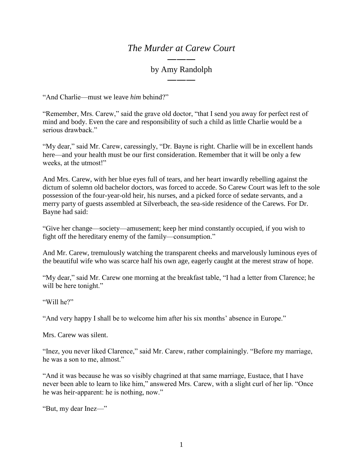## *The Murder at Carew Court*

## ――― by Amy Randolph ―――

"And Charlie—must we leave *him* behind?"

"Remember, Mrs. Carew," said the grave old doctor, "that I send you away for perfect rest of mind and body. Even the care and responsibility of such a child as little Charlie would be a serious drawback."

"My dear," said Mr. Carew, caressingly, "Dr. Bayne is right. Charlie will be in excellent hands here—and your health must be our first consideration. Remember that it will be only a few weeks, at the utmost!"

And Mrs. Carew, with her blue eyes full of tears, and her heart inwardly rebelling against the dictum of solemn old bachelor doctors, was forced to accede. So Carew Court was left to the sole possession of the four-year-old heir, his nurses, and a picked force of sedate servants, and a merry party of guests assembled at Silverbeach, the sea-side residence of the Carews. For Dr. Bayne had said:

"Give her change—society—amusement; keep her mind constantly occupied, if you wish to fight off the hereditary enemy of the family—consumption."

And Mr. Carew, tremulously watching the transparent cheeks and marvelously luminous eyes of the beautiful wife who was scarce half his own age, eagerly caught at the merest straw of hope.

"My dear," said Mr. Carew one morning at the breakfast table, "I had a letter from Clarence; he will be here tonight."

"Will he?"

"And very happy I shall be to welcome him after his six months' absence in Europe."

Mrs. Carew was silent.

"Inez, you never liked Clarence," said Mr. Carew, rather complainingly. "Before my marriage, he was a son to me, almost."

"And it was because he was so visibly chagrined at that same marriage, Eustace, that I have never been able to learn to like him," answered Mrs. Carew, with a slight curl of her lip. "Once he was heir-apparent: he is nothing, now."

"But, my dear Inez—"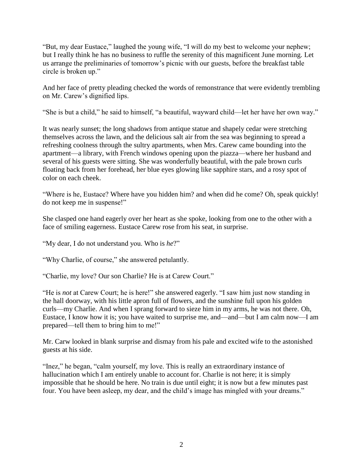"But, my dear Eustace," laughed the young wife, "I will do my best to welcome your nephew; but I really think he has no business to ruffle the serenity of this magnificent June morning. Let us arrange the preliminaries of tomorrow's picnic with our guests, before the breakfast table circle is broken up."

And her face of pretty pleading checked the words of remonstrance that were evidently trembling on Mr. Carew's dignified lips.

"She is but a child," he said to himself, "a beautiful, wayward child—let her have her own way."

It was nearly sunset; the long shadows from antique statue and shapely cedar were stretching themselves across the lawn, and the delicious salt air from the sea was beginning to spread a refreshing coolness through the sultry apartments, when Mrs. Carew came bounding into the apartment—a library, with French windows opening upon the piazza—where her husband and several of his guests were sitting. She was wonderfully beautiful, with the pale brown curls floating back from her forehead, her blue eyes glowing like sapphire stars, and a rosy spot of color on each cheek.

"Where is he, Eustace? Where have you hidden him? and when did he come? Oh, speak quickly! do not keep me in suspense!"

She clasped one hand eagerly over her heart as she spoke, looking from one to the other with a face of smiling eagerness. Eustace Carew rose from his seat, in surprise.

"My dear, I do not understand you. Who is *he*?"

"Why Charlie, of course," she answered petulantly.

"Charlie, my love? Our son Charlie? He is at Carew Court."

"He is *not* at Carew Court; he is here!" she answered eagerly. "I saw him just now standing in the hall doorway, with his little apron full of flowers, and the sunshine full upon his golden curls—my Charlie. And when I sprang forward to sieze him in my arms, he was not there. Oh, Eustace, I know how it is; you have waited to surprise me, and—and—but I am calm now—I am prepared—tell them to bring him to me!"

Mr. Carw looked in blank surprise and dismay from his pale and excited wife to the astonished guests at his side.

"Inez," he began, "calm yourself, my love. This is really an extraordinary instance of hallucination which I am entirely unable to account for. Charlie is not here; it is simply impossible that he should be here. No train is due until eight; it is now but a few minutes past four. You have been asleep, my dear, and the child's image has mingled with your dreams."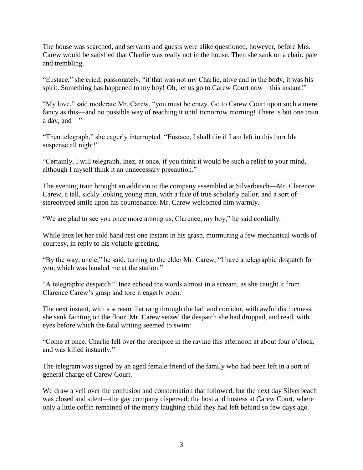The house was searched, and servants and guests were alike questioned, however, before Mrs. Carew would be satisfied that Charlie was really not in the house. Then she sank on a chair, pale and trembling.

"Eustace," she cried, passionately, "if that was not my Charlie, alive and in the body, it was his spirit. Something has happened to my boy! Oh, let us go to Carew Court now—this instant!"

"My love," said moderate Mr. Carew, "you must be crazy. Go to Carew Court upon such a mere fancy as this—and no possible way of reaching it until tomorrow morning! There is but one train a day, and—"

"Then telegraph," she eagerly interrupted. "Eustace, I shall die if I am left in this horrible suspense all night!"

"Certainly, I will telegraph, Inez, at once, if you think it would be such a relief to your mind, although I myself think it an unnecessary precaution."

The evening train brought an addition to the company assembled at Silverbeach—Mr. Clarence Carew, a tall, sickly looking young man, with a face of true scholarly pallor, and a sort of stereotyped smile upon his countenance. Mr. Carew welcomed him warmly.

"We are glad to see you once more among us, Clarence, my boy," he said cordially.

While Inez let her cold hand rest one instant in his grasp, murmuring a few mechanical words of courtesy, in reply to his voluble greeting.

"By the way, uncle," he said, turning to the elder Mr. Carew, "I have a telegraphic despatch for you, which was handed me at the station."

"A telegraphic despatch!" Inez echoed the words almost in a scream, as she caught it from Clarence Carew's grasp and tore it eagerly open.

The next instant, with a scream that rang through the hall and corridor, with awful distinctness, she sank fainting on the floor. Mr. Carew seized the despatch she had dropped, and read, with eyes before which the fatal writing seemed to swim:

"Come at once. Charlie fell over the precipice in the ravine this afternoon at about four o'clock, and was killed instantly."

The telegram was signed by an aged female friend of the family who had been left in a sort of general charge of Carew Court.

We draw a veil over the confusion and consternation that followed; but the next day Silverbeach was closed and silent—the gay company dispersed; the host and hostess at Carew Court, where only a little coffin remained of the merry laughing child they had left behind so few days ago.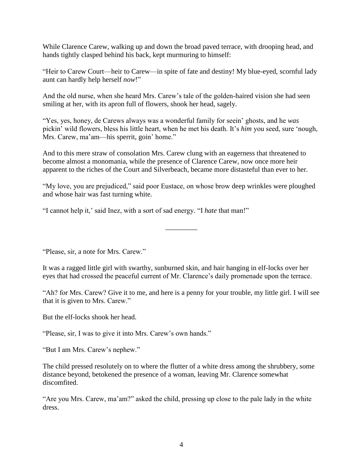While Clarence Carew, walking up and down the broad paved terrace, with drooping head, and hands tightly clasped behind his back, kept murmuring to himself:

"Heir to Carew Court—heir to Carew—in spite of fate and destiny! My blue-eyed, scornful lady aunt can hardly help herself *now*!"

And the old nurse, when she heard Mrs. Carew's tale of the golden-haired vision she had seen smiling at her, with its apron full of flowers, shook her head, sagely.

"Yes, yes, honey, de Carews always was a wonderful family for seein' ghosts, and he *was* pickin' wild flowers, bless his little heart, when he met his death. It's *him* you seed, sure 'nough, Mrs. Carew, ma'am—his sperrit, goin' home."

And to this mere straw of consolation Mrs. Carew clung with an eagerness that threatened to become almost a monomania, while the presence of Clarence Carew, now once more heir apparent to the riches of the Court and Silverbeach, became more distasteful than ever to her.

"My love, you are prejudiced," said poor Eustace, on whose brow deep wrinkles were ploughed and whose hair was fast turning white.

 $\overline{\phantom{a}}$ 

"I cannot help it,' said Inez, with a sort of sad energy. "I *hate* that man!"

"Please, sir, a note for Mrs. Carew."

It was a ragged little girl with swarthy, sunburned skin, and hair hanging in elf-locks over her eyes that had crossed the peaceful current of Mr. Clarence's daily promenade upon the terrace.

"Ah? for Mrs. Carew? Give it to me, and here is a penny for your trouble, my little girl. I will see that it is given to Mrs. Carew."

But the elf-locks shook her head.

"Please, sir, I was to give it into Mrs. Carew's own hands."

"But I am Mrs. Carew's nephew."

The child pressed resolutely on to where the flutter of a white dress among the shrubbery, some distance beyond, betokened the presence of a woman, leaving Mr. Clarence somewhat discomfited.

"Are you Mrs. Carew, ma'am?" asked the child, pressing up close to the pale lady in the white dress.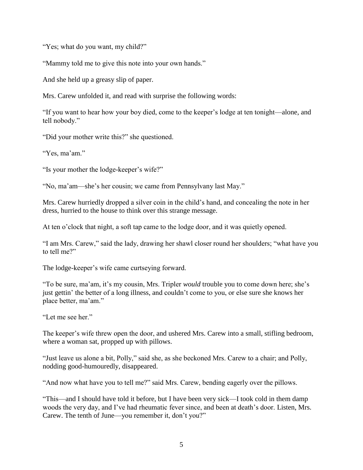"Yes; what do you want, my child?"

"Mammy told me to give this note into your own hands."

And she held up a greasy slip of paper.

Mrs. Carew unfolded it, and read with surprise the following words:

"If you want to hear how your boy died, come to the keeper's lodge at ten tonight—alone, and tell nobody."

"Did your mother write this?" she questioned.

"Yes, ma'am."

"Is your mother the lodge-keeper's wife?"

"No, ma'am—she's her cousin; we came from Pennsylvany last May."

Mrs. Carew hurriedly dropped a silver coin in the child's hand, and concealing the note in her dress, hurried to the house to think over this strange message.

At ten o'clock that night, a soft tap came to the lodge door, and it was quietly opened.

"I am Mrs. Carew," said the lady, drawing her shawl closer round her shoulders; "what have you to tell me?"

The lodge-keeper's wife came curtseying forward.

"To be sure, ma'am, it's my cousin, Mrs. Tripler *would* trouble you to come down here; she's just gettin' the better of a long illness, and couldn't come to you, or else sure she knows her place better, ma'am."

"Let me see her."

The keeper's wife threw open the door, and ushered Mrs. Carew into a small, stifling bedroom, where a woman sat, propped up with pillows.

"Just leave us alone a bit, Polly," said she, as she beckoned Mrs. Carew to a chair; and Polly, nodding good-humouredly, disappeared.

"And now what have you to tell me?" said Mrs. Carew, bending eagerly over the pillows.

"This—and I should have told it before, but I have been very sick—I took cold in them damp woods the very day, and I've had rheumatic fever since, and been at death's door. Listen, Mrs. Carew. The tenth of June—you remember it, don't you?"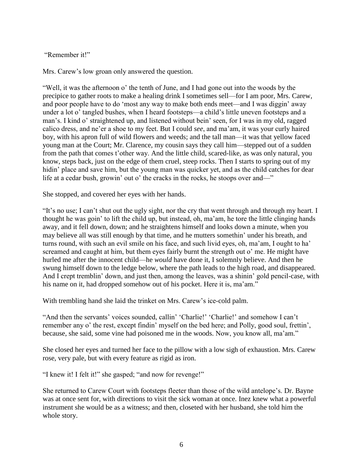## "Remember it!"

Mrs. Carew's low groan only answered the question.

"Well, it was the afternoon o' the tenth of June, and I had gone out into the woods by the precipice to gather roots to make a healing drink I sometimes sell—for I am poor, Mrs. Carew, and poor people have to do 'most any way to make both ends meet—and I was diggin' away under a lot o' tangled bushes, when I heard footsteps—a child's little uneven footsteps and a man's. I kind o' straightened up, and listened without bein' seen, for I was in my old, ragged calico dress, and ne'er a shoe to my feet. But I could *see*, and ma'am, it was your curly haired boy, with his apron full of wild flowers and weeds; and the tall man—it was that yellow faced young man at the Court; Mr. Clarence, my cousin says they call him—stepped out of a sudden from the path that comes t'other way. And the little child, scared-like, as was only natural, you know, steps back, just on the edge of them cruel, steep rocks. Then I starts to spring out of my hidin' place and save him, but the young man was quicker yet, and as the child catches for dear life at a cedar bush, growin' out o' the cracks in the rocks, he stoops over and—"

She stopped, and covered her eyes with her hands.

"It's no use; I can't shut out the ugly sight, nor the cry that went through and through my heart. I thought he was goin' to lift the child up, but instead, oh, ma'am, he tore the little clinging hands away, and it fell down, down; and he straightens himself and looks down a minute, when you may believe all was still enough by that time, and he mutters somethin' under his breath, and turns round, with such an evil smile on his face, and such livid eyes, oh, ma'am, I ought to ha' screamed and caught at him, but them eyes fairly burnt the strength out o' me. He might have hurled me after the innocent child—he *would* have done it, I solemnly believe. And then he swung himself down to the ledge below, where the path leads to the high road, and disappeared. And I crept tremblin' down, and just then, among the leaves, was a shinin' gold pencil-case, with his name on it, had dropped somehow out of his pocket. Here it is, ma'am."

With trembling hand she laid the trinket on Mrs. Carew's ice-cold palm.

"And then the servants' voices sounded, callin' 'Charlie!' 'Charlie!' and somehow I can't remember any o' the rest, except findin' myself on the bed here; and Polly, good soul, frettin', because, she said, some vine had poisoned me in the woods. Now, you know all, ma'am."

She closed her eyes and turned her face to the pillow with a low sigh of exhaustion. Mrs. Carew rose, very pale, but with every feature as rigid as iron.

"I knew it! I felt it!" she gasped; "and now for revenge!"

She returned to Carew Court with footsteps fleeter than those of the wild antelope's. Dr. Bayne was at once sent for, with directions to visit the sick woman at once. Inez knew what a powerful instrument she would be as a witness; and then, closeted with her husband, she told him the whole story.